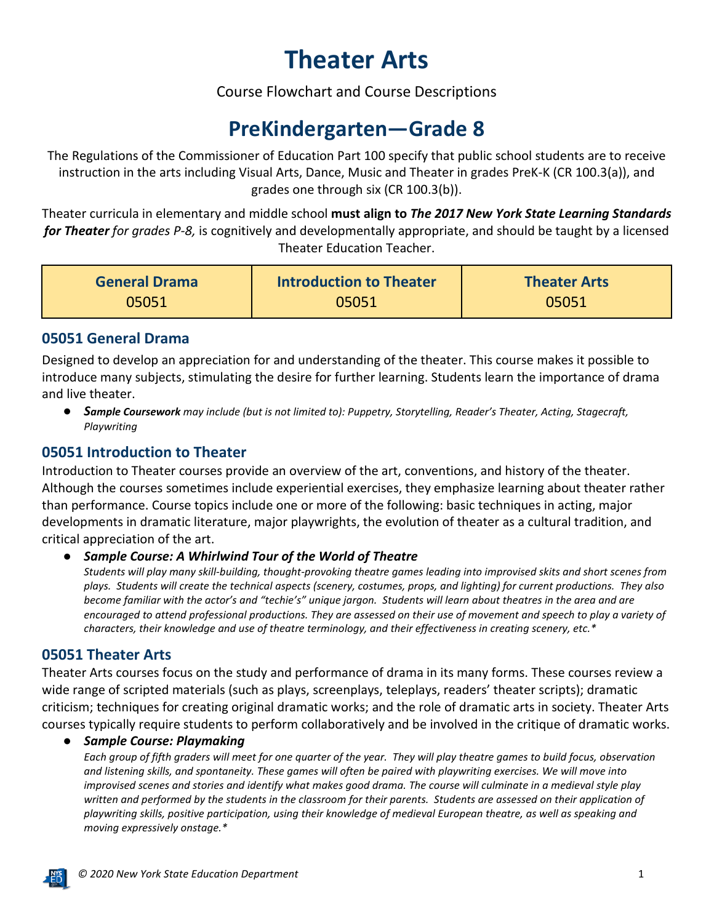# **Theater Arts**

Course Flowchart and Course Descriptions

## **PreKindergarten—Grade 8**

The Regulations of the Commissioner of Education Part 100 specify that public school students are to receive instruction in the arts including Visual Arts, Dance, Music and Theater in grades PreK-K (CR 100.3(a)), and grades one through six (CR 100.3(b)).

Theater curricula in elementary and middle school **must align to** *The 2017 New York State Learning Standards for Theater for grades P-8,* is cognitively and developmentally appropriate, and should be taught by a licensed Theater Education Teacher.

| <b>General Drama</b> | Introduction to Theater | <b>Theater Arts</b> |
|----------------------|-------------------------|---------------------|
| 05051                | 05051                   | 05051               |

#### **05051 General Drama**

Designed to develop an appreciation for and understanding of the theater. This course makes it possible to introduce many subjects, stimulating the desire for further learning. Students learn the importance of drama and live theater.

● *Sample Coursework may include (but is not limited to): Puppetry, Storytelling, Reader's Theater, Acting, Stagecraft, Playwriting*

#### **05051 Introduction to Theater**

Introduction to Theater courses provide an overview of the art, conventions, and history of the theater. Although the courses sometimes include experiential exercises, they emphasize learning about theater rather than performance. Course topics include one or more of the following: basic techniques in acting, major developments in dramatic literature, major playwrights, the evolution of theater as a cultural tradition, and critical appreciation of the art.

**Sample Course: A Whirlwind Tour of the World of Theatre** 

*Students will play many skill-building, thought-provoking theatre games leading into improvised skits and short scenes from plays. Students will create the technical aspects (scenery, costumes, props, and lighting) for current productions. They also become familiar with the actor's and "techie's" unique jargon. Students will learn about theatres in the area and are encouraged to attend professional productions. They are assessed on their use of movement and speech to play a variety of characters, their knowledge and use of theatre terminology, and their effectiveness in creating scenery, etc.\** 

#### **05051 Theater Arts**

Theater Arts courses focus on the study and performance of drama in its many forms. These courses review a wide range of scripted materials (such as plays, screenplays, teleplays, readers' theater scripts); dramatic criticism; techniques for creating original dramatic works; and the role of dramatic arts in society. Theater Arts courses typically require students to perform collaboratively and be involved in the critique of dramatic works.

#### ● *Sample Course: Playmaking*

*Each group of fifth graders will meet for one quarter of the year. They will play theatre games to build focus, observation and listening skills, and spontaneity. These games will often be paired with playwriting exercises. We will move into improvised scenes and stories and identify what makes good drama. The course will culminate in a medieval style play written and performed by the students in the classroom for their parents. Students are assessed on their application of playwriting skills, positive participation, using their knowledge of medieval European theatre, as well as speaking and moving expressively onstage.\**

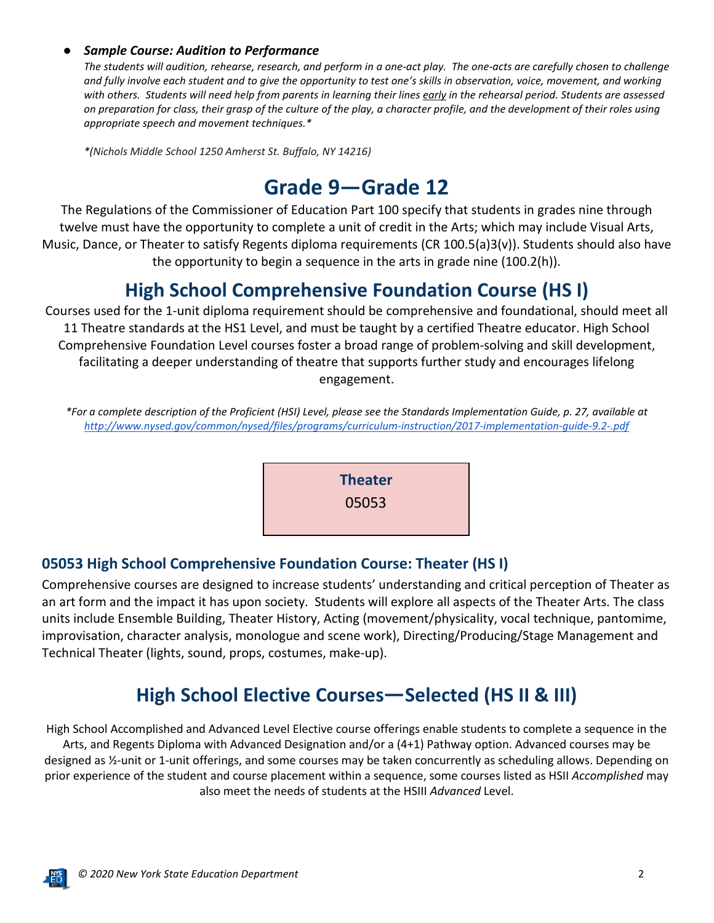#### ● *Sample Course: Audition to Performance*

*The students will audition, rehearse, research, and perform in a one-act play. The one-acts are carefully chosen to challenge and fully involve each student and to give the opportunity to test one's skills in observation, voice, movement, and working with others. Students will need help from parents in learning their lines early in the rehearsal period. Students are assessed on preparation for class, their grasp of the culture of the play, a character profile, and the development of their roles using appropriate speech and movement techniques.\**

*\*(Nichols Middle School 1250 Amherst St. Buffalo, NY 14216)*

## **Grade 9—Grade 12**

The Regulations of the Commissioner of Education Part 100 specify that students in grades nine through twelve must have the opportunity to complete a unit of credit in the Arts; which may include Visual Arts, Music, Dance, or Theater to satisfy Regents diploma requirements (CR 100.5(a)3(v)). Students should also have the opportunity to begin a sequence in the arts in grade nine (100.2(h)).

### **High School Comprehensive Foundation Course (HS I)**

Courses used for the 1-unit diploma requirement should be comprehensive and foundational, should meet all 11 Theatre standards at the HS1 Level, and must be taught by a certified Theatre educator. High School Comprehensive Foundation Level courses foster a broad range of problem-solving and skill development, facilitating a deeper understanding of theatre that supports further study and encourages lifelong engagement.

*\*For a complete description of the Proficient (HSI) Level, please see the Standards Implementation Guide, p. 27, available at <http://www.nysed.gov/common/nysed/files/programs/curriculum-instruction/2017-implementation-guide-9.2-.pdf>*



#### **05053 High School Comprehensive Foundation Course: Theater (HS I)**

Comprehensive courses are designed to increase students' understanding and critical perception of Theater as an art form and the impact it has upon society. Students will explore all aspects of the Theater Arts. The class units include Ensemble Building, Theater History, Acting (movement/physicality, vocal technique, pantomime, improvisation, character analysis, monologue and scene work), Directing/Producing/Stage Management and Technical Theater (lights, sound, props, costumes, make-up).

## **High School Elective Courses—Selected (HS II & III)**

High School Accomplished and Advanced Level Elective course offerings enable students to complete a sequence in the Arts, and Regents Diploma with Advanced Designation and/or a (4+1) Pathway option. Advanced courses may be designed as ½-unit or 1-unit offerings, and some courses may be taken concurrently as scheduling allows. Depending on prior experience of the student and course placement within a sequence, some courses listed as HSII *Accomplished* may also meet the needs of students at the HSIII *Advanced* Level.

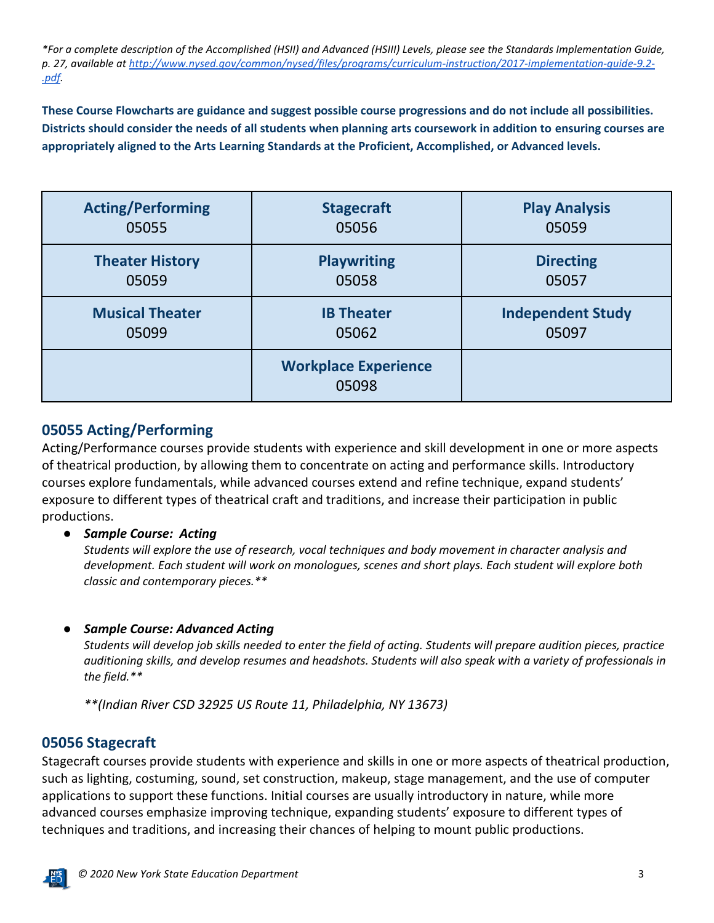*\*For a complete description of the Accomplished (HSII) and Advanced (HSIII) Levels, please see the Standards Implementation Guide, p. 27, available a[t http://www.nysed.gov/common/nysed/files/programs/curriculum-instruction/2017-implementation-guide-9.2-](http://www.nysed.gov/common/nysed/files/programs/curriculum-instruction/2017-implementation-guide-9.2-.pdf) [.pdf.](http://www.nysed.gov/common/nysed/files/programs/curriculum-instruction/2017-implementation-guide-9.2-.pdf)*

**These Course Flowcharts are guidance and suggest possible course progressions and do not include all possibilities. Districts should consider the needs of all students when planning arts coursework in addition to ensuring courses are appropriately aligned to the Arts Learning Standards at the Proficient, Accomplished, or Advanced levels.**

| <b>Acting/Performing</b> | <b>Stagecraft</b>                    | <b>Play Analysis</b>     |
|--------------------------|--------------------------------------|--------------------------|
| 05055                    | 05056                                | 05059                    |
| <b>Theater History</b>   | <b>Playwriting</b>                   | <b>Directing</b>         |
| 05059                    | 05058                                | 05057                    |
| <b>Musical Theater</b>   | <b>IB Theater</b>                    | <b>Independent Study</b> |
| 05099                    | 05062                                | 05097                    |
|                          | <b>Workplace Experience</b><br>05098 |                          |

#### **05055 Acting/Performing**

Acting/Performance courses provide students with experience and skill development in one or more aspects of theatrical production, by allowing them to concentrate on acting and performance skills. Introductory courses explore fundamentals, while advanced courses extend and refine technique, expand students' exposure to different types of theatrical craft and traditions, and increase their participation in public productions.

#### ● *Sample Course: Acting*

*Students will explore the use of research, vocal techniques and body movement in character analysis and development. Each student will work on monologues, scenes and short plays. Each student will explore both classic and contemporary pieces.\*\** 

#### ● *Sample Course: Advanced Acting*

*Students will develop job skills needed to enter the field of acting. Students will prepare audition pieces, practice auditioning skills, and develop resumes and headshots. Students will also speak with a variety of professionals in the field.\*\**

*\*\*(Indian River CSD 32925 US Route 11, Philadelphia, NY 13673)*

#### **05056 Stagecraft**

Stagecraft courses provide students with experience and skills in one or more aspects of theatrical production, such as lighting, costuming, sound, set construction, makeup, stage management, and the use of computer applications to support these functions. Initial courses are usually introductory in nature, while more advanced courses emphasize improving technique, expanding students' exposure to different types of techniques and traditions, and increasing their chances of helping to mount public productions.

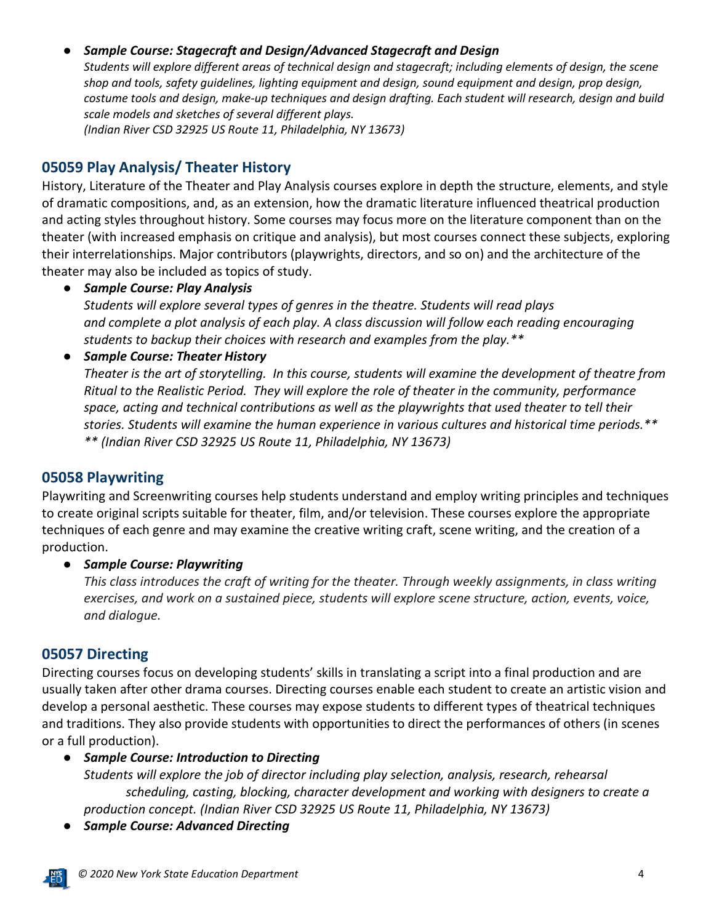#### ● *Sample Course: Stagecraft and Design/Advanced Stagecraft and Design*

*Students will explore different areas of technical design and stagecraft; including elements of design, the scene shop and tools, safety guidelines, lighting equipment and design, sound equipment and design, prop design, costume tools and design, make-up techniques and design drafting. Each student will research, design and build scale models and sketches of several different plays. (Indian River CSD 32925 US Route 11, Philadelphia, NY 13673)*

#### **05059 Play Analysis/ Theater History**

History, Literature of the Theater and Play Analysis courses explore in depth the structure, elements, and style of dramatic compositions, and, as an extension, how the dramatic literature influenced theatrical production and acting styles throughout history. Some courses may focus more on the literature component than on the theater (with increased emphasis on critique and analysis), but most courses connect these subjects, exploring their interrelationships. Major contributors (playwrights, directors, and so on) and the architecture of the theater may also be included as topics of study.

● *Sample Course: Play Analysis*

*Students will explore several types of genres in the theatre. Students will read plays and complete a plot analysis of each play. A class discussion will follow each reading encouraging students to backup their choices with research and examples from the play.\*\**

● *Sample Course: Theater History*

*Theater is the art of storytelling. In this course, students will examine the development of theatre from Ritual to the Realistic Period. They will explore the role of theater in the community, performance space, acting and technical contributions as well as the playwrights that used theater to tell their stories. Students will examine the human experience in various cultures and historical time periods.\*\* \*\* (Indian River CSD 32925 US Route 11, Philadelphia, NY 13673)*

#### **05058 Playwriting**

Playwriting and Screenwriting courses help students understand and employ writing principles and techniques to create original scripts suitable for theater, film, and/or television. These courses explore the appropriate techniques of each genre and may examine the creative writing craft, scene writing, and the creation of a production.

● *Sample Course: Playwriting*

*This class introduces the craft of writing for the theater. Through weekly assignments, in class writing exercises, and work on a sustained piece, students will explore scene structure, action, events, voice, and dialogue.* 

#### **05057 Directing**

Directing courses focus on developing students' skills in translating a script into a final production and are usually taken after other drama courses. Directing courses enable each student to create an artistic vision and develop a personal aesthetic. These courses may expose students to different types of theatrical techniques and traditions. They also provide students with opportunities to direct the performances of others (in scenes or a full production).

#### ● *Sample Course: Introduction to Directing*

*Students will explore the job of director including play selection, analysis, research, rehearsal scheduling, casting, blocking, character development and working with designers to create a production concept. (Indian River CSD 32925 US Route 11, Philadelphia, NY 13673)*

● *Sample Course: Advanced Directing*

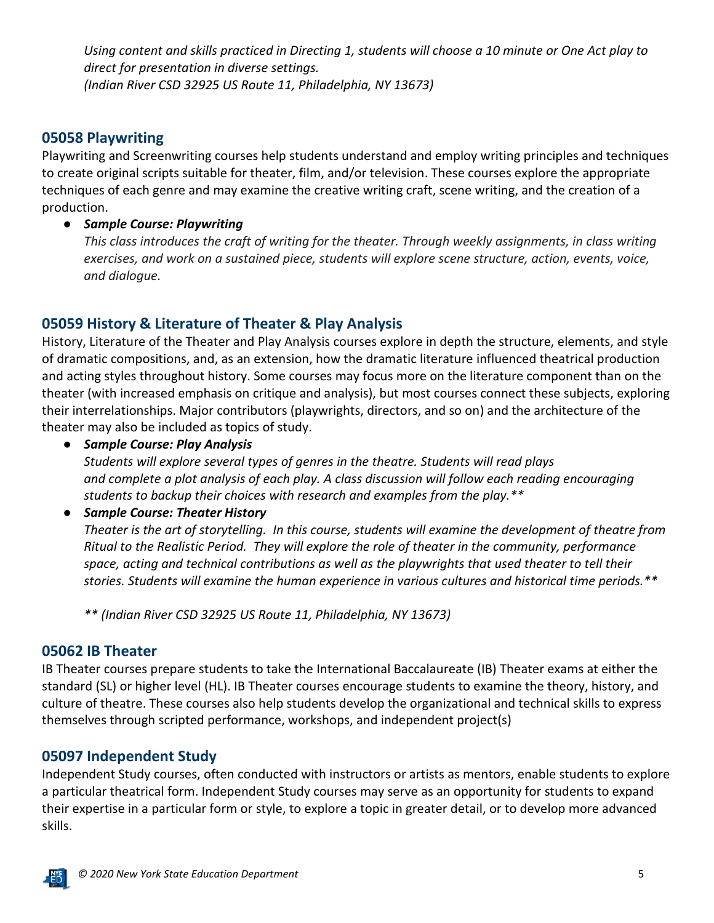*Using content and skills practiced in Directing 1, students will choose a 10 minute or One Act play to direct for presentation in diverse settings. (Indian River CSD 32925 US Route 11, Philadelphia, NY 13673)*

#### **05058 Playwriting**

Playwriting and Screenwriting courses help students understand and employ writing principles and techniques to create original scripts suitable for theater, film, and/or television. These courses explore the appropriate techniques of each genre and may examine the creative writing craft, scene writing, and the creation of a production.

#### ● *Sample Course: Playwriting*

*This class introduces the craft of writing for the theater. Through weekly assignments, in class writing exercises, and work on a sustained piece, students will explore scene structure, action, events, voice, and dialogue.*

#### **05059 History & Literature of Theater & Play Analysis**

History, Literature of the Theater and Play Analysis courses explore in depth the structure, elements, and style of dramatic compositions, and, as an extension, how the dramatic literature influenced theatrical production and acting styles throughout history. Some courses may focus more on the literature component than on the theater (with increased emphasis on critique and analysis), but most courses connect these subjects, exploring their interrelationships. Major contributors (playwrights, directors, and so on) and the architecture of the theater may also be included as topics of study.

● *Sample Course: Play Analysis*

*Students will explore several types of genres in the theatre. Students will read plays and complete a plot analysis of each play. A class discussion will follow each reading encouraging students to backup their choices with research and examples from the play.\*\**

#### ● *Sample Course: Theater History*

*Theater is the art of storytelling. In this course, students will examine the development of theatre from Ritual to the Realistic Period. They will explore the role of theater in the community, performance space, acting and technical contributions as well as the playwrights that used theater to tell their stories. Students will examine the human experience in various cultures and historical time periods.\*\**

*\*\* (Indian River CSD 32925 US Route 11, Philadelphia, NY 13673)*

#### **05062 IB Theater**

IB Theater courses prepare students to take the International Baccalaureate (IB) Theater exams at either the standard (SL) or higher level (HL). IB Theater courses encourage students to examine the theory, history, and culture of theatre. These courses also help students develop the organizational and technical skills to express themselves through scripted performance, workshops, and independent project(s)

#### **05097 Independent Study**

Independent Study courses, often conducted with instructors or artists as mentors, enable students to explore a particular theatrical form. Independent Study courses may serve as an opportunity for students to expand their expertise in a particular form or style, to explore a topic in greater detail, or to develop more advanced skills.

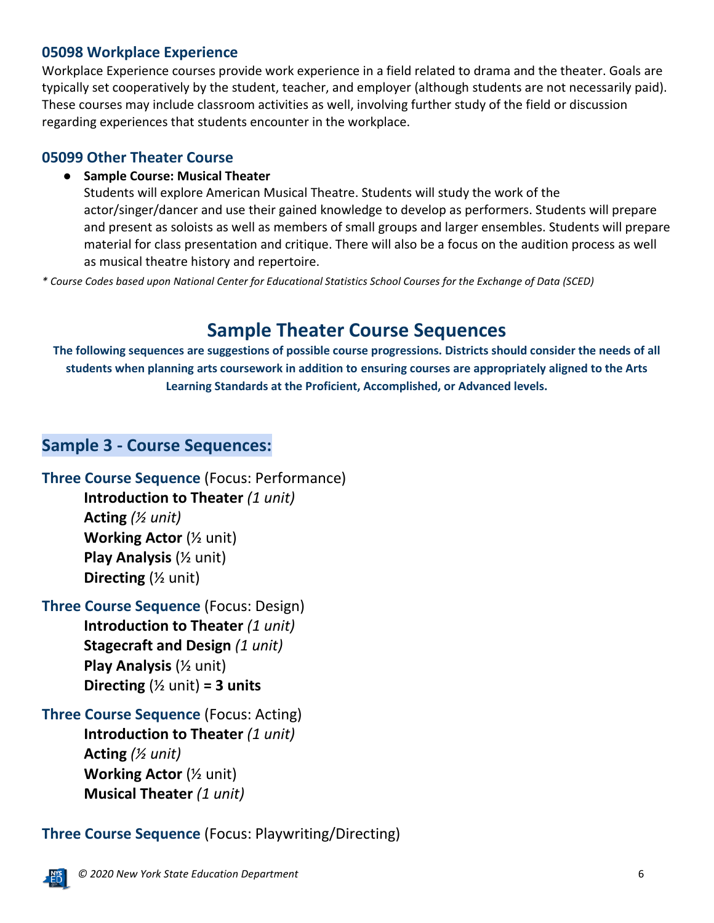#### **05098 Workplace Experience**

Workplace Experience courses provide work experience in a field related to drama and the theater. Goals are typically set cooperatively by the student, teacher, and employer (although students are not necessarily paid). These courses may include classroom activities as well, involving further study of the field or discussion regarding experiences that students encounter in the workplace.

#### **05099 Other Theater Course**

#### ● **Sample Course: Musical Theater**

Students will explore American Musical Theatre. Students will study the work of the actor/singer/dancer and use their gained knowledge to develop as performers. Students will prepare and present as soloists as well as members of small groups and larger ensembles. Students will prepare material for class presentation and critique. There will also be a focus on the audition process as well as musical theatre history and repertoire.

*\* Course Codes based upon National Center for Educational Statistics School Courses for the Exchange of Data (SCED)*

## **Sample Theater Course Sequences**

**The following sequences are suggestions of possible course progressions. Districts should consider the needs of all students when planning arts coursework in addition to ensuring courses are appropriately aligned to the Arts Learning Standards at the Proficient, Accomplished, or Advanced levels.**

#### **Sample 3 - Course Sequences:**

**Three Course Sequence** (Focus: Performance) **Introduction to Theater** *(1 unit)* **Acting** *(½ unit)* **Working Actor** (½ unit) **Play Analysis** (½ unit)

**Directing** (½ unit)

**Three Course Sequence** (Focus: Design) **Introduction to Theater** *(1 unit)* **Stagecraft and Design** *(1 unit)* **Play Analysis** (½ unit) **Directing**  $(Y_2 \text{ unit}) = 3 \text{ units}$ 

**Three Course Sequence** (Focus: Acting) **Introduction to Theater** *(1 unit)* **Acting** *(½ unit)* **Working Actor** (½ unit) **Musical Theater** *(1 unit)*

### **Three Course Sequence** (Focus: Playwriting/Directing)